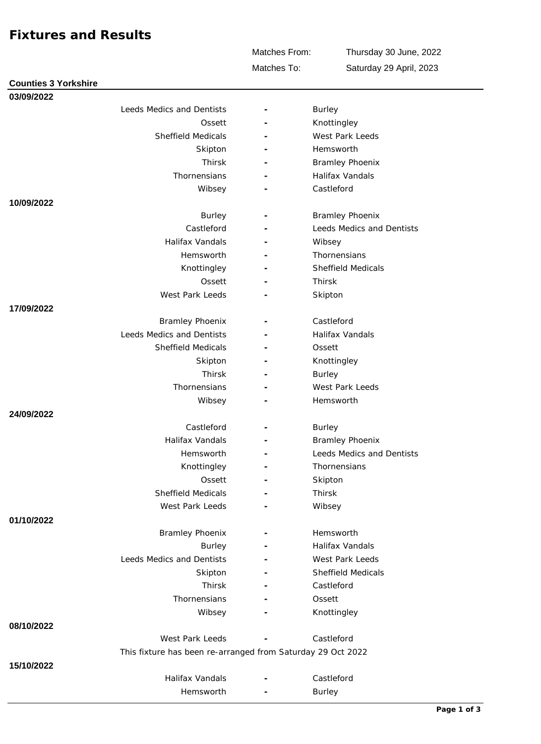## **Fixtures and Results**

**Counties 3 Yorkshire**

Matches From:

Thursday 30 June, 2022

Matches To:

Saturday 29 April, 2023

| 03/09/2022 |                                                             |                          |                           |
|------------|-------------------------------------------------------------|--------------------------|---------------------------|
|            | Leeds Medics and Dentists                                   |                          | <b>Burley</b>             |
|            | Ossett                                                      | $\overline{\phantom{m}}$ | Knottingley               |
|            | Sheffield Medicals                                          |                          | West Park Leeds           |
|            | Skipton                                                     | $\overline{\phantom{a}}$ | Hemsworth                 |
|            | Thirsk                                                      |                          | <b>Bramley Phoenix</b>    |
|            | Thornensians                                                | $\sim$                   | Halifax Vandals           |
|            | Wibsey                                                      |                          | Castleford                |
| 10/09/2022 |                                                             |                          |                           |
|            | <b>Burley</b>                                               |                          | <b>Bramley Phoenix</b>    |
|            | Castleford                                                  | $\overline{\phantom{a}}$ | Leeds Medics and Dentists |
|            | Halifax Vandals                                             |                          | Wibsey                    |
|            | Hemsworth                                                   |                          | Thornensians              |
|            | Knottingley                                                 |                          | Sheffield Medicals        |
|            | Ossett                                                      | $\overline{\phantom{a}}$ | Thirsk                    |
|            | West Park Leeds                                             |                          | Skipton                   |
| 17/09/2022 |                                                             |                          |                           |
|            | <b>Bramley Phoenix</b>                                      |                          | Castleford                |
|            | Leeds Medics and Dentists                                   | $\sim$                   | Halifax Vandals           |
|            | <b>Sheffield Medicals</b>                                   |                          | Ossett                    |
|            | Skipton                                                     | ۰                        | Knottingley               |
|            | Thirsk                                                      |                          | <b>Burley</b>             |
|            | Thornensians                                                | ۰                        | West Park Leeds           |
|            | Wibsey                                                      |                          | Hemsworth                 |
| 24/09/2022 |                                                             |                          |                           |
|            | Castleford                                                  | $\overline{\phantom{a}}$ | <b>Burley</b>             |
|            | Halifax Vandals                                             | $\overline{a}$           | <b>Bramley Phoenix</b>    |
|            | Hemsworth                                                   |                          | Leeds Medics and Dentists |
|            | Knottingley                                                 |                          | Thornensians              |
|            | Ossett                                                      |                          | Skipton                   |
|            | Sheffield Medicals                                          | $\overline{\phantom{a}}$ | Thirsk                    |
|            | West Park Leeds                                             |                          | Wibsey                    |
| 01/10/2022 |                                                             |                          |                           |
|            | <b>Bramley Phoenix</b>                                      |                          | Hemsworth                 |
|            | Burley                                                      |                          | Halifax Vandals           |
|            | Leeds Medics and Dentists                                   |                          | West Park Leeds           |
|            | Skipton                                                     |                          | Sheffield Medicals        |
|            | Thirsk                                                      |                          | Castleford                |
|            | Thornensians                                                |                          | Ossett                    |
|            | Wibsey                                                      |                          | Knottingley               |
| 08/10/2022 |                                                             |                          |                           |
|            | West Park Leeds                                             |                          | Castleford                |
|            | This fixture has been re-arranged from Saturday 29 Oct 2022 |                          |                           |
| 15/10/2022 |                                                             |                          |                           |
|            | Halifax Vandals                                             |                          | Castleford                |
|            | Hemsworth                                                   |                          | <b>Burley</b>             |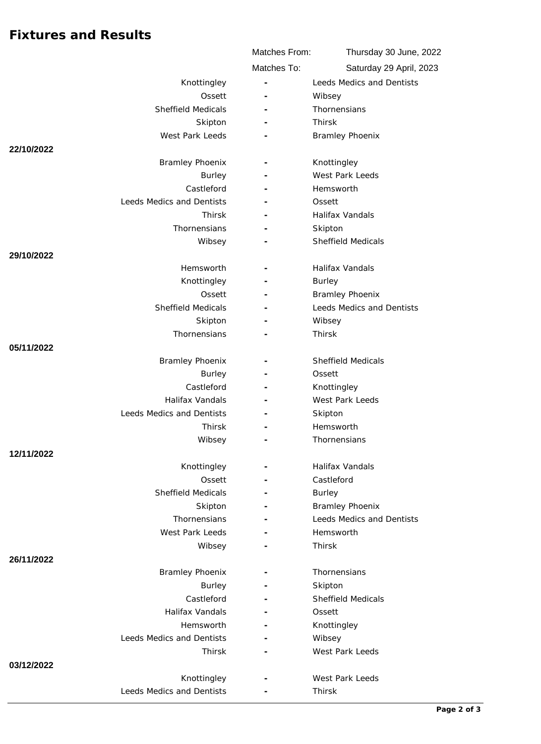## **Fixtures and Results**

|                           |                         | Matches From: | Thursday 30 June, 2022           |
|---------------------------|-------------------------|---------------|----------------------------------|
|                           |                         | Matches To:   | Saturday 29 April, 2023          |
|                           | Knottingley             |               | Leeds Medics and Dentists        |
|                           | Ossett                  |               | Wibsey                           |
| <b>Sheffield Medicals</b> |                         |               | Thornensians                     |
|                           | Skipton                 |               | Thirsk                           |
| West Park Leeds           |                         |               | <b>Bramley Phoenix</b>           |
| 22/10/2022                |                         |               |                                  |
| <b>Bramley Phoenix</b>    |                         |               | Knottingley                      |
|                           | <b>Burley</b>           |               | West Park Leeds                  |
|                           | Castleford              |               | Hemsworth                        |
| Leeds Medics and Dentists |                         |               | Ossett                           |
|                           | Thirsk                  |               | Halifax Vandals                  |
|                           | Thornensians            |               | Skipton                          |
|                           | Wibsey                  |               | <b>Sheffield Medicals</b>        |
| 29/10/2022                |                         |               |                                  |
|                           | Hemsworth               |               | Halifax Vandals                  |
|                           | Knottingley             |               | <b>Burley</b>                    |
|                           | Ossett                  |               | <b>Bramley Phoenix</b>           |
| Sheffield Medicals        |                         |               | Leeds Medics and Dentists        |
|                           | Skipton<br>Thornensians |               | Wibsey<br>Thirsk                 |
| 05/11/2022                |                         |               |                                  |
| <b>Bramley Phoenix</b>    |                         |               | <b>Sheffield Medicals</b>        |
|                           | Burley                  |               | Ossett                           |
|                           | Castleford              |               | Knottingley                      |
| Halifax Vandals           |                         |               | West Park Leeds                  |
| Leeds Medics and Dentists |                         |               | Skipton                          |
|                           | Thirsk                  |               | Hemsworth                        |
|                           | Wibsey                  |               | Thornensians                     |
| 12/11/2022                |                         |               |                                  |
|                           | Knottingley             |               | Halifax Vandals                  |
|                           | Ossett                  |               | Castleford                       |
| <b>Sheffield Medicals</b> |                         |               | <b>Burley</b>                    |
|                           | Skipton                 |               | <b>Bramley Phoenix</b>           |
|                           | Thornensians            |               | <b>Leeds Medics and Dentists</b> |
| West Park Leeds           |                         |               | Hemsworth                        |
|                           | Wibsey                  |               | Thirsk                           |
| 26/11/2022                |                         |               |                                  |
| <b>Bramley Phoenix</b>    |                         |               | Thornensians                     |
|                           | Burley                  |               | Skipton                          |
|                           | Castleford              |               | Sheffield Medicals               |
| Halifax Vandals           |                         |               | Ossett                           |
|                           | Hemsworth               |               | Knottingley                      |
| Leeds Medics and Dentists |                         |               | Wibsey                           |
|                           | Thirsk                  |               | West Park Leeds                  |
| 03/12/2022                |                         |               |                                  |
| Leeds Medics and Dentists | Knottingley             |               | West Park Leeds                  |
|                           |                         |               | Thirsk                           |